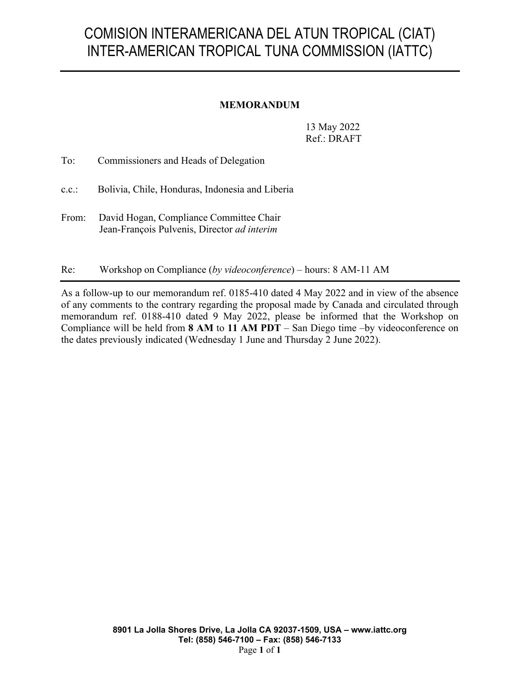## COMISION INTERAMERICANA DEL ATUN TROPICAL (CIAT) INTER-AMERICAN TROPICAL TUNA COMMISSION (IATTC)

## **MEMORANDUM**

13 May 2022 Ref.: DRAFT

To: Commissioners and Heads of Delegation

c.c.: Bolivia, Chile, Honduras, Indonesia and Liberia

From: David Hogan, Compliance Committee Chair Jean-François Pulvenis, Director *ad interim*

Re: Workshop on Compliance (*by videoconference*) – hours: 8 AM-11 AM

As a follow-up to our memorandum ref. 0185-410 dated 4 May 2022 and in view of the absence of any comments to the contrary regarding the proposal made by Canada and circulated through memorandum ref. 0188-410 dated 9 May 2022, please be informed that the Workshop on Compliance will be held from **8 AM** to **11 AM PDT** – San Diego time –by videoconference on the dates previously indicated (Wednesday 1 June and Thursday 2 June 2022).